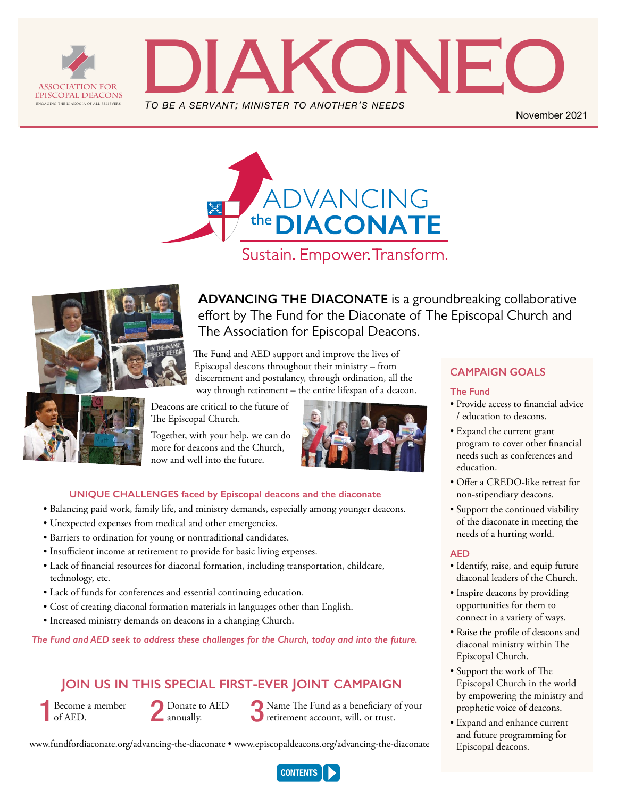<span id="page-0-0"></span>



November 2021





**Advancing the Diaconate** is a groundbreaking collaborative effort by The Fund for the Diaconate of The Episcopal Church and The Association for Episcopal Deacons.

The Fund and AED support and improve the lives of Episcopal deacons throughout their ministry – from discernment and postulancy, through ordination, all the way through retirement – the entire lifespan of a deacon.

Deacons are critical to the future of The Episcopal Church.

Together, with your help, we can do more for deacons and the Church, now and well into the future.



## **UNIQUE CHALLENGES faced by Episcopal deacons and the diaconate**

- Balancing paid work, family life, and ministry demands, especially among younger deacons.
- Unexpected expenses from medical and other emergencies.
- Barriers to ordination for young or nontraditional candidates.
- Insufficient income at retirement to provide for basic living expenses.
- Lack of financial resources for diaconal formation, including transportation, childcare, technology, etc.
- Lack of funds for conferences and essential continuing education.
- Cost of creating diaconal formation materials in languages other than English.
- Increased ministry demands on deacons in a changing Church.

*The Fund and AED seek to address these challenges for the Church, today and into the future.*

## **Join us in this special first-ever Joint campaign**

Become a member of AED.

Donate to AED annually.

Name The Fund as a beneficiary of your<br>retirement account, will, or trust.

[www.fundfordiaconate.org/advancing-the-diaconate](http://www.fundfordiaconate.org/advancing-the-diaconate) • [www.episcopaldeacons.org/advancing-the-diaconate](http://www.episcopaldeacons.org/advancing-the-diaconate)

## **CAMPAIGN GOALS**

#### **The Fund**

- Provide access to financial advice / education to deacons.
- Expand the current grant program to cover other financial needs such as conferences and education.
- Offer a CREDO-like retreat for non-stipendiary deacons.
- Support the continued viability of the diaconate in meeting the needs of a hurting world.

#### **AED**

- Identify, raise, and equip future diaconal leaders of the Church.
- Inspire deacons by providing opportunities for them to connect in a variety of ways.
- Raise the profile of deacons and diaconal ministry within The Episcopal Church.
- Support the work of The Episcopal Church in the world by empowering the ministry and prophetic voice of deacons.
- Expand and enhance current and future programming for Episcopal deacons.

**CONTENTS**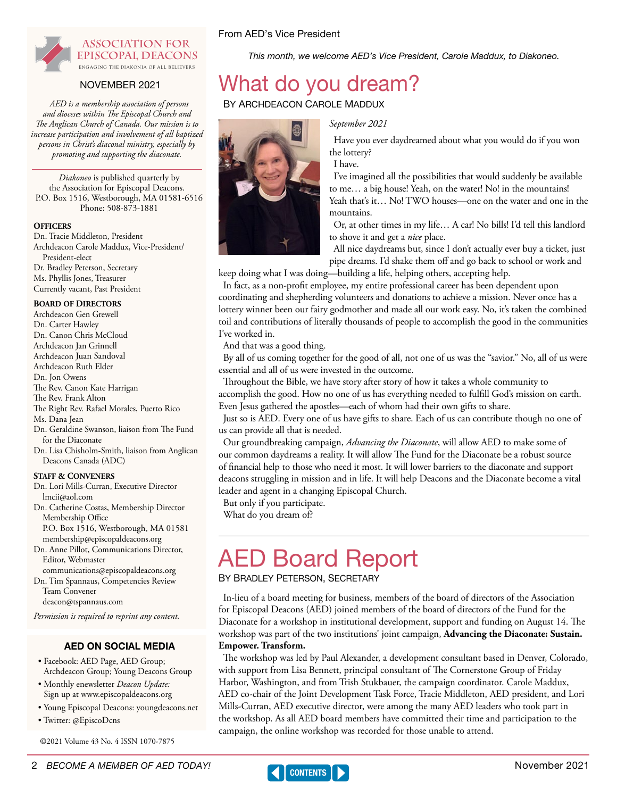<span id="page-1-0"></span>

## NOVEMBER 2021 What do you dream?

*and dioceses within The Episcopal Church and The Anglican Church of Canada. Our mission is to increase participation and involvement of all baptized persons in Christ's diaconal ministry, especially by promoting and supporting the diaconate.* 

*Diakoneo* is published quarterly by the Association for Episcopal Deacons. P.O. Box 1516, Westborough, MA 01581-6516 Phone: 508-873-1881

#### **Officers**

Dn. Tracie Middleton, President Archdeacon Carole Maddux, Vice-President/ President-elect Dr. Bradley Peterson, Secretary Ms. Phyllis Jones, Treasurer Currently vacant, Past President

#### **Board of Directors**

Archdeacon Gen Grewell Dn. Carter Hawley Dn. Canon Chris McCloud Archdeacon Jan Grinnell Archdeacon Juan Sandoval Archdeacon Ruth Elder Dn. Jon Owens The Rev. Canon Kate Harrigan The Rev. Frank Alton The Right Rev. Rafael Morales, Puerto Rico Ms. Dana Jean Dn. Geraldine Swanson, liaison from The Fund for the Diaconate Dn. Lisa Chisholm-Smith, liaison from Anglican Deacons Canada (ADC)

#### **Staff & Conveners**

- Dn. Lori Mills-Curran, Executive Director [lmcii@aol.com](mailto:lmcii@aol.com)
- Dn. Catherine Costas, Membership Director Membership Office
- P.O. Box 1516, Westborough, MA 01581 [membership@episcopaldeacons.org](mailto:membership@episcopaldeacons.org)
- Dn. Anne Pillot, Communications Director, Editor, Webmaster
- [communications@episcopaldeacons.org](mailto:communications@episcopaldeacons.org)  Dn. Tim Spannaus, Competencies Review Team Convener

[deacon@tspannaus.com](mailto:deacon@tspannaus.com)

*Permission is required to reprint any content.*

## AED ON SOCIAL MEDIA

- Facebook: AED Page, AED Group; Archdeacon Group; Young Deacons Group
- Monthly enewsletter *Deacon Update:* Sign up at www[.episcopaldeacons.org](http://www.episcopaldeacons.org)
- Young Episcopal Deacons: [youngdeacons.net](http://youngdeacons.net)
- Twitter: @EpiscoDcns

©2021 Volume 43 No. 4 ISSN 1070-7875

*AED is a membership association of persons* **BY ARCHDEACON CAROLE MADDUX** 

From AED's Vice President



*September 2021*

Have you ever daydreamed about what you would do if you won the lottery?

I have.

I've imagined all the possibilities that would suddenly be available to me… a big house! Yeah, on the water! No! in the mountains! Yeah that's it... No! TWO houses-one on the water and one in the mountains.

Or, at other times in my life… A car! No bills! I'd tell this landlord to shove it and get a *nice* place.

All nice daydreams but, since I don't actually ever buy a ticket, just pipe dreams. I'd shake them off and go back to school or work and

keep doing what I was doing—building a life, helping others, accepting help.

In fact, as a non-profit employee, my entire professional career has been dependent upon coordinating and shepherding volunteers and donations to achieve a mission. Never once has a lottery winner been our fairy godmother and made all our work easy. No, it's taken the combined toil and contributions of literally thousands of people to accomplish the good in the communities I've worked in.

This month, we welcome AED's Vice President, Carole Maddux, to Diakoneo.

And that was a good thing.

By all of us coming together for the good of all, not one of us was the "savior." No, all of us were essential and all of us were invested in the outcome.

Throughout the Bible, we have story after story of how it takes a whole community to accomplish the good. How no one of us has everything needed to fulfill God's mission on earth. Even Jesus gathered the apostles—each of whom had their own gifts to share.

Just so is AED. Every one of us have gifts to share. Each of us can contribute though no one of us can provide all that is needed.

Our groundbreaking campaign, *Advancing the Diaconate*, will allow AED to make some of our common daydreams a reality. It will allow The Fund for the Diaconate be a robust source of financial help to those who need it most. It will lower barriers to the diaconate and support deacons struggling in mission and in life. It will help Deacons and the Diaconate become a vital leader and agent in a changing Episcopal Church.

But only if you participate.

What do you dream of?

# AED Board Report

By Bradley Peterson, Secretary

In-lieu of a board meeting for business, members of the board of directors of the Association for Episcopal Deacons (AED) joined members of the board of directors of the Fund for the Diaconate for a workshop in institutional development, support and funding on August 14. The workshop was part of the two institutions' joint campaign, **Advancing the Diaconate: Sustain. Empower. Transform.**

The workshop was led by Paul Alexander, a development consultant based in Denver, Colorado, with support from Lisa Bennett, principal consultant of The Cornerstone Group of Friday Harbor, Washington, and from Trish Stukbauer, the campaign coordinator. Carole Maddux, AED co-chair of the Joint Development Task Force, Tracie Middleton, AED president, and Lori Mills-Curran, AED executive director, were among the many AED leaders who took part in the workshop. As all AED board members have committed their time and participation to the campaign, the online workshop was recorded for those unable to attend.

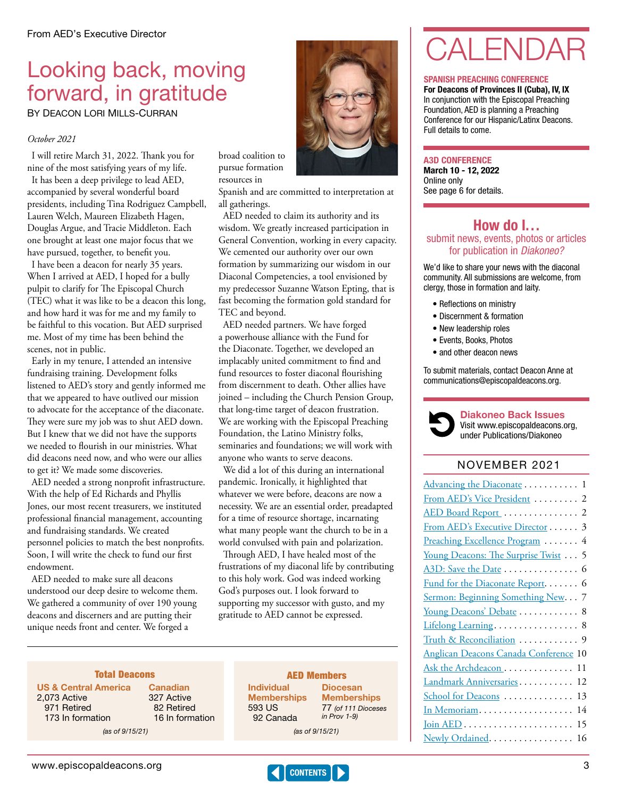## Looking back, moving forward, in gratitude

BY DEACON LORI MILLS-CURRAN

## *October 2021*

I will retire March 31, 2022. Thank you for nine of the most satisfying years of my life. It has been a deep privilege to lead AED, accompanied by several wonderful board presidents, including Tina Rodriguez Campbell, Lauren Welch, Maureen Elizabeth Hagen, Douglas Argue, and Tracie Middleton. Each one brought at least one major focus that we have pursued, together, to benefit you.

I have been a deacon for nearly 35 years. When I arrived at AED, I hoped for a bully pulpit to clarify for The Episcopal Church (TEC) what it was like to be a deacon this long, and how hard it was for me and my family to be faithful to this vocation. But AED surprised me. Most of my time has been behind the scenes, not in public.

Early in my tenure, I attended an intensive fundraising training. Development folks listened to AED's story and gently informed me that we appeared to have outlived our mission to advocate for the acceptance of the diaconate. They were sure my job was to shut AED down. But I knew that we did not have the supports we needed to flourish in our ministries. What did deacons need now, and who were our allies to get it? We made some discoveries.

AED needed a strong nonprofit infrastructure. With the help of Ed Richards and Phyllis Jones, our most recent treasurers, we instituted professional financial management, accounting and fundraising standards. We created personnel policies to match the best nonprofits. Soon, I will write the check to fund our first endowment.

AED needed to make sure all deacons understood our deep desire to welcome them. We gathered a community of over 190 young deacons and discerners and are putting their unique needs front and center. We forged a

broad coalition to pursue formation resources in

Spanish and are committed to interpretation at all gatherings.

AED needed to claim its authority and its wisdom. We greatly increased participation in General Convention, working in every capacity. We cemented our authority over our own formation by summarizing our wisdom in our Diaconal Competencies, a tool envisioned by my predecessor Suzanne Watson Epting, that is fast becoming the formation gold standard for TEC and beyond.

AED needed partners. We have forged a powerhouse alliance with the Fund for the Diaconate. Together, we developed an implacably united commitment to find and fund resources to foster diaconal flourishing from discernment to death. Other allies have joined – including the Church Pension Group, that long-time target of deacon frustration. We are working with the Episcopal Preaching Foundation, the Latino Ministry folks, seminaries and foundations; we will work with anyone who wants to serve deacons.

We did a lot of this during an international pandemic. Ironically, it highlighted that whatever we were before, deacons are now a necessity. We are an essential order, preadapted for a time of resource shortage, incarnating what many people want the church to be in a world convulsed with pain and polarization.

Through AED, I have healed most of the frustrations of my diaconal life by contributing to this holy work. God was indeed working God's purposes out. I look forward to supporting my successor with gusto, and my gratitude to AED cannot be expressed.

## Canadian

US & Central America 2,073 Active 971 Retired 173 In formation

 82 Retired 16 In formation (as of 9/15/21) (as of 9/15/21)

327 Active

#### **Total Deacons AED Members** Diocesan

**CONTENTS** 

**Individual Memberships** 593 US 92 Canada

77 (of 111 Dioceses in Prov 1-9)

**Memberships** 

# CALENDAR

#### SPANISH PREACHING CONFERENCE

For Deacons of Provinces II (Cuba), IV, IX In conjunction with the Episcopal Preaching Foundation, AED is planning a Preaching Conference for our Hispanic/Latinx Deacons. Full details to come.

#### A3D CONFERENCE

March 10 - 12, 2022 Online only See page 6 for details.

## How do I... submit news, events, photos or articles for publication in *Diakoneo?*

We'd like to share your news with the diaconal community. All submissions are welcome, from clergy, those in formation and laity.

- Reflections on ministry
- Discernment & formation
- New leadership roles
- Events, Books, Photos
- and other deacon news

To submit materials, contact Deacon Anne at communications@episcopaldeacons.org.



Diakoneo Back Issues Visit [www.episcopaldeacons.org,](http://www.episcopaldeacons.org) under Publications/Diakoneo

## NOVEMBER 2021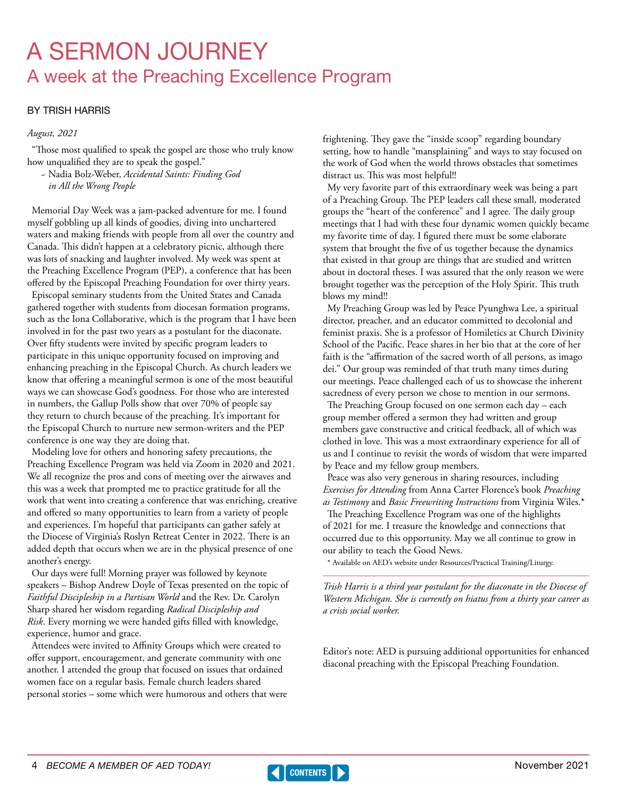## <span id="page-3-0"></span>A SERMON JOURNEY A week at the Preaching Excellence Program

## BY TRISH HARRIS

### *August, 2021*

"Those most qualified to speak the gospel are those who truly know how unqualified they are to speak the gospel."

~ Nadia Bolz-Weber, *Accidental Saints: Finding God in All the Wrong People*

Memorial Day Week was a jam-packed adventure for me. I found myself gobbling up all kinds of goodies, diving into unchartered waters and making friends with people from all over the country and Canada. This didn't happen at a celebratory picnic, although there was lots of snacking and laughter involved. My week was spent at the Preaching Excellence Program (PEP), a conference that has been offered by the Episcopal Preaching Foundation for over thirty years.

Episcopal seminary students from the United States and Canada gathered together with students from diocesan formation programs, such as the Iona Collaborative, which is the program that I have been involved in for the past two years as a postulant for the diaconate. Over fifty students were invited by specific program leaders to participate in this unique opportunity focused on improving and enhancing preaching in the Episcopal Church. As church leaders we know that offering a meaningful sermon is one of the most beautiful ways we can showcase God's goodness. For those who are interested in numbers, the Gallup Polls show that over 70% of people say they return to church because of the preaching. It's important for the Episcopal Church to nurture new sermon-writers and the PEP conference is one way they are doing that.

Modeling love for others and honoring safety precautions, the Preaching Excellence Program was held via Zoom in 2020 and 2021. We all recognize the pros and cons of meeting over the airwaves and this was a week that prompted me to practice gratitude for all the work that went into creating a conference that was enriching, creative and offered so many opportunities to learn from a variety of people and experiences. I'm hopeful that participants can gather safely at the Diocese of Virginia's Roslyn Retreat Center in 2022. There is an added depth that occurs when we are in the physical presence of one another's energy.

Our days were full! Morning prayer was followed by keynote speakers – Bishop Andrew Doyle of Texas presented on the topic of *Faithful Discipleship in a Partisan World* and the Rev. Dr. Carolyn Sharp shared her wisdom regarding *Radical Discipleship and Risk*. Every morning we were handed gifts filled with knowledge, experience, humor and grace.

Attendees were invited to Affinity Groups which were created to offer support, encouragement, and generate community with one another. I attended the group that focused on issues that ordained women face on a regular basis. Female church leaders shared personal stories – some which were humorous and others that were frightening. They gave the "inside scoop" regarding boundary setting, how to handle "mansplaining" and ways to stay focused on the work of God when the world throws obstacles that sometimes distract us. This was most helpful!!

My very favorite part of this extraordinary week was being a part of a Preaching Group. The PEP leaders call these small, moderated groups the "heart of the conference" and I agree. The daily group meetings that I had with these four dynamic women quickly became my favorite time of day. I figured there must be some elaborate system that brought the five of us together because the dynamics that existed in that group are things that are studied and written about in doctoral theses. I was assured that the only reason we were brought together was the perception of the Holy Spirit. This truth blows my mind!!

My Preaching Group was led by Peace Pyunghwa Lee, a spiritual director, preacher, and an educator committed to decolonial and feminist praxis. She is a professor of Homiletics at Church Divinity School of the Pacific. Peace shares in her bio that at the core of her faith is the "affirmation of the sacred worth of all persons, as imago dei." Our group was reminded of that truth many times during our meetings. Peace challenged each of us to showcase the inherent sacredness of every person we chose to mention in our sermons.

The Preaching Group focused on one sermon each day – each group member offered a sermon they had written and group members gave constructive and critical feedback, all of which was clothed in love. This was a most extraordinary experience for all of us and I continue to revisit the words of wisdom that were imparted by Peace and my fellow group members.

Peace was also very generous in sharing resources, including *Exercises for Attending* from Anna Carter Florence's book *Preaching as Testimony* and *Basic Freewriting Instructions* from Virginia Wiles.\*

The Preaching Excellence Program was one of the highlights of 2021 for me. I treasure the knowledge and connections that occurred due to this opportunity. May we all continue to grow in our ability to teach the Good News.

\* Available on AED's website under Resources/Practical Training/Liturgy.

*Trish Harris is a third year postulant for the diaconate in the Diocese of Western Michigan. She is currently on hiatus from a thirty year career as a crisis social worker.*

Editor's note: AED is pursuing additional opportunities for enhanced diaconal preaching with the Episcopal Preaching Foundation.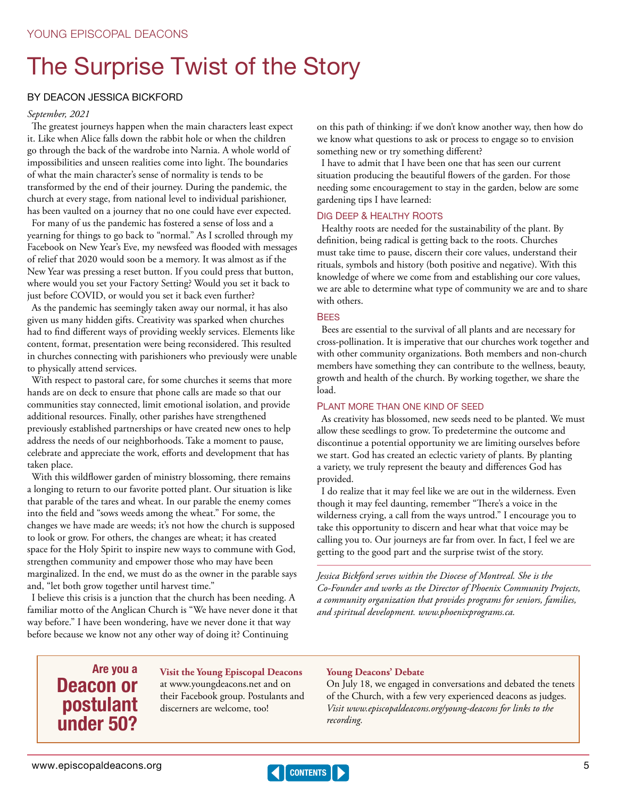# <span id="page-4-0"></span>The Surprise Twist of the Story

## BY DEACON JESSICA BICKFORD

#### *September, 2021*

The greatest journeys happen when the main characters least expect it. Like when Alice falls down the rabbit hole or when the children go through the back of the wardrobe into Narnia. A whole world of impossibilities and unseen realities come into light. The boundaries of what the main character's sense of normality is tends to be transformed by the end of their journey. During the pandemic, the church at every stage, from national level to individual parishioner, has been vaulted on a journey that no one could have ever expected.

For many of us the pandemic has fostered a sense of loss and a yearning for things to go back to "normal." As I scrolled through my Facebook on New Year's Eve, my newsfeed was flooded with messages of relief that 2020 would soon be a memory. It was almost as if the New Year was pressing a reset button. If you could press that button, where would you set your Factory Setting? Would you set it back to just before COVID, or would you set it back even further?

As the pandemic has seemingly taken away our normal, it has also given us many hidden gifts. Creativity was sparked when churches had to find different ways of providing weekly services. Elements like content, format, presentation were being reconsidered. This resulted in churches connecting with parishioners who previously were unable to physically attend services.

With respect to pastoral care, for some churches it seems that more hands are on deck to ensure that phone calls are made so that our communities stay connected, limit emotional isolation, and provide additional resources. Finally, other parishes have strengthened previously established partnerships or have created new ones to help address the needs of our neighborhoods. Take a moment to pause, celebrate and appreciate the work, efforts and development that has taken place.

With this wildflower garden of ministry blossoming, there remains a longing to return to our favorite potted plant. Our situation is like that parable of the tares and wheat. In our parable the enemy comes into the field and "sows weeds among the wheat." For some, the changes we have made are weeds; it's not how the church is supposed to look or grow. For others, the changes are wheat; it has created space for the Holy Spirit to inspire new ways to commune with God, strengthen community and empower those who may have been marginalized. In the end, we must do as the owner in the parable says and, "let both grow together until harvest time."

I believe this crisis is a junction that the church has been needing. A familiar motto of the Anglican Church is "We have never done it that way before." I have been wondering, have we never done it that way before because we know not any other way of doing it? Continuing

on this path of thinking: if we don't know another way, then how do we know what questions to ask or process to engage so to envision something new or try something different?

I have to admit that I have been one that has seen our current situation producing the beautiful flowers of the garden. For those needing some encouragement to stay in the garden, below are some gardening tips I have learned:

### Dig Deep & Healthy Roots

Healthy roots are needed for the sustainability of the plant. By definition, being radical is getting back to the roots. Churches must take time to pause, discern their core values, understand their rituals, symbols and history (both positive and negative). With this knowledge of where we come from and establishing our core values, we are able to determine what type of community we are and to share with others.

#### **BFFS**

Bees are essential to the survival of all plants and are necessary for cross-pollination. It is imperative that our churches work together and with other community organizations. Both members and non-church members have something they can contribute to the wellness, beauty, growth and health of the church. By working together, we share the load.

#### Plant more than one kind of seed

As creativity has blossomed, new seeds need to be planted. We must allow these seedlings to grow. To predetermine the outcome and discontinue a potential opportunity we are limiting ourselves before we start. God has created an eclectic variety of plants. By planting a variety, we truly represent the beauty and differences God has provided.

I do realize that it may feel like we are out in the wilderness. Even though it may feel daunting, remember "There's a voice in the wilderness crying, a call from the ways untrod." I encourage you to take this opportunity to discern and hear what that voice may be calling you to. Our journeys are far from over. In fact, I feel we are getting to the good part and the surprise twist of the story.

*Jessica Bickford serves within the Diocese of Montreal. She is the Co-Founder and works as the Director of Phoenix Community Projects, a community organization that provides programs for seniors, families, and spiritual development. [www.phoenixprograms.ca.](http://www.phoenixprograms.ca)* 

## Are you a Deacon or postulant under 50?

**Visit the Young Episcopal Deacons** at [www.youngdeacons.net](http://www.youngdeacons.net) and on their Facebook group. Postulants and discerners are welcome, too!

#### **Young Deacons' Debate**

On July 18, we engaged in conversations and debated the tenets of the Church, with a few very experienced deacons as judges. *Visit [www.episcopaldeacons.org/young-deacons](http://www.episcopaldeacons.org/young-deacons) for links to the recording.*

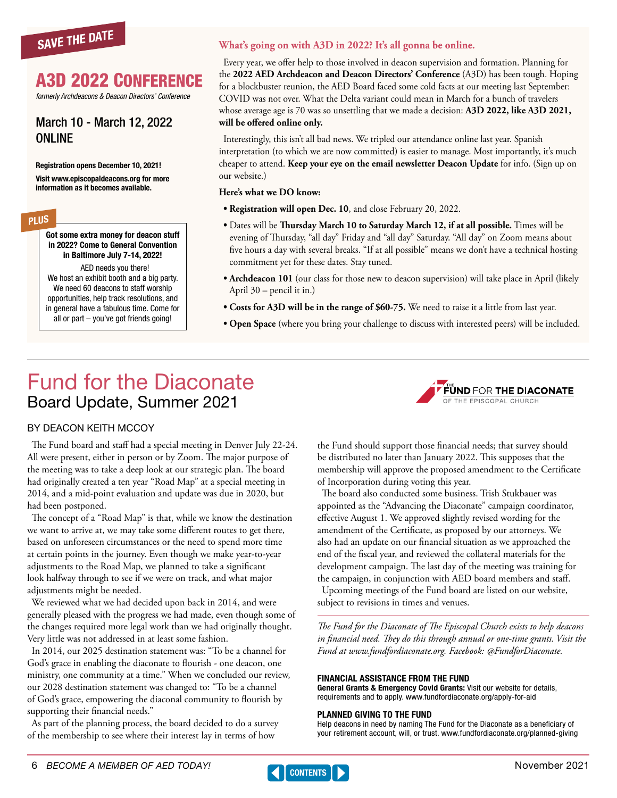<span id="page-5-0"></span>

## A3D 2022 Conference

*formerly Archdeacons & Deacon Directors' Conference* 

## March 10 - March 12, 2022 ONLINE

Registration opens December 10, 2021!

Visit [www.episcopaldeacons.org](https://www.episcopaldeacons.org/a3d-2022.html) for more information as it becomes available.

## PLUS

Got some extra money for deacon stuff in 2022? Come to General Convention in Baltimore July 7-14, 2022!

AED needs you there! We host an exhibit booth and a big party. We need 60 deacons to staff worship opportunities, help track resolutions, and in general have a fabulous time. Come for all or part – you've got friends going!

### **What's going on with A3D in 2022? It's all gonna be online.**

Every year, we offer help to those involved in deacon supervision and formation. Planning for the **2022 AED Archdeacon and Deacon Directors' Conference** (A3D) has been tough. Hoping for a blockbuster reunion, the AED Board faced some cold facts at our meeting last September: COVID was not over. What the Delta variant could mean in March for a bunch of travelers whose average age is 70 was so unsettling that we made a decision: **A3D 2022, like A3D 2021, will be offered online only.**

Interestingly, this isn't all bad news. We tripled our attendance online last year. Spanish interpretation (to which we are now committed) is easier to manage. Most importantly, it's much cheaper to attend. **Keep your eye on the email newsletter Deacon Update** for info. (Sign up on our website.)

#### **Here's what we DO know:**

- **Registration will open Dec. 10**, and close February 20, 2022.
- Dates will be **Thursday March 10 to Saturday March 12, if at all possible.** Times will be evening of Thursday, "all day" Friday and "all day" Saturday. "All day" on Zoom means about five hours a day with several breaks. "If at all possible" means we don't have a technical hosting commitment yet for these dates. Stay tuned.
- **Archdeacon 101** (our class for those new to deacon supervision) will take place in April (likely April 30 – pencil it in.)
- **Costs for A3D will be in the range of \$60-75.** We need to raise it a little from last year.
- **Open Space** (where you bring your challenge to discuss with interested peers) will be included.

## Fund for the Diaconate Board Update, Summer 2021



## BY DEACON KEITH MCCOY

The Fund board and staff had a special meeting in Denver July 22-24. All were present, either in person or by Zoom. The major purpose of the meeting was to take a deep look at our strategic plan. The board had originally created a ten year "Road Map" at a special meeting in 2014, and a mid-point evaluation and update was due in 2020, but had been postponed.

The concept of a "Road Map" is that, while we know the destination we want to arrive at, we may take some different routes to get there, based on unforeseen circumstances or the need to spend more time at certain points in the journey. Even though we make year-to-year adjustments to the Road Map, we planned to take a significant look halfway through to see if we were on track, and what major adjustments might be needed.

We reviewed what we had decided upon back in 2014, and were generally pleased with the progress we had made, even though some of the changes required more legal work than we had originally thought. Very little was not addressed in at least some fashion.

In 2014, our 2025 destination statement was: "To be a channel for God's grace in enabling the diaconate to flourish - one deacon, one ministry, one community at a time." When we concluded our review, our 2028 destination statement was changed to: "To be a channel of God's grace, empowering the diaconal community to flourish by supporting their financial needs."

As part of the planning process, the board decided to do a survey of the membership to see where their interest lay in terms of how

the Fund should support those financial needs; that survey should be distributed no later than January 2022. This supposes that the membership will approve the proposed amendment to the Certificate of Incorporation during voting this year.

The board also conducted some business. Trish Stukbauer was appointed as the "Advancing the Diaconate" campaign coordinator, effective August 1. We approved slightly revised wording for the amendment of the Certificate, as proposed by our attorneys. We also had an update on our financial situation as we approached the end of the fiscal year, and reviewed the collateral materials for the development campaign. The last day of the meeting was training for the campaign, in conjunction with AED board members and staff.

Upcoming meetings of the Fund board are listed on our website, subject to revisions in times and venues.

*The Fund for the Diaconate of The Episcopal Church exists to help deacons in financial need. They do this through annual or one-time grants. Visit the Fund at [www.fundfordiaconate.org.](https://www.fundfordiaconate.org) Facebook: @FundforDiaconate.* 

#### FINANCIAL ASSISTANCE FROM THE FUND

General Grants & Emergency Covid Grants: Visit our website for details, requirements and to apply. [www.fundfordiaconate.org/apply-for-aid](http://www.fundfordiaconate.org/apply-for-aid)

#### PLANNED GIVING TO THE FUND

Help deacons in need by naming The Fund for the Diaconate as a beneficiary of your retirement account, will, or trust. [www.fundfordiaconate.org/planned-giving](http://www.fundfordiaconate.org/planned-giving)

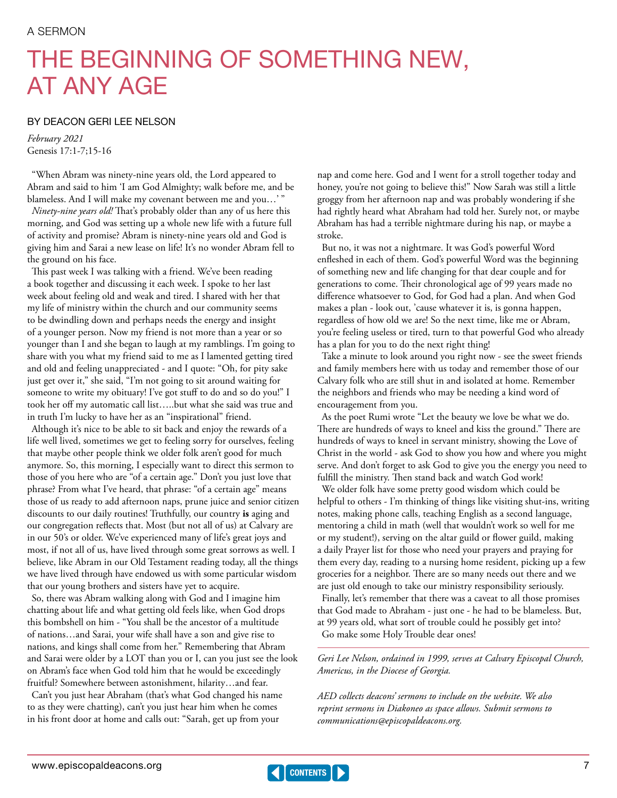# <span id="page-6-0"></span>THE BEGINNING OF SOMETHING NEW, AT ANY AGE

### BY DEACON GERI LEE NELSON

*February 2021* Genesis 17:1-7;15-16

"When Abram was ninety-nine years old, the Lord appeared to Abram and said to him 'I am God Almighty; walk before me, and be blameless. And I will make my covenant between me and you…' "

*Ninety-nine years old!* That's probably older than any of us here this morning, and God was setting up a whole new life with a future full of activity and promise? Abram is ninety-nine years old and God is giving him and Sarai a new lease on life! It's no wonder Abram fell to the ground on his face.

This past week I was talking with a friend. We've been reading a book together and discussing it each week. I spoke to her last week about feeling old and weak and tired. I shared with her that my life of ministry within the church and our community seems to be dwindling down and perhaps needs the energy and insight of a younger person. Now my friend is not more than a year or so younger than I and she began to laugh at my ramblings. I'm going to share with you what my friend said to me as I lamented getting tired and old and feeling unappreciated - and I quote: "Oh, for pity sake just get over it," she said, "I'm not going to sit around waiting for someone to write my obituary! I've got stuff to do and so do you!" I took her off my automatic call list…..but what she said was true and in truth I'm lucky to have her as an "inspirational" friend.

Although it's nice to be able to sit back and enjoy the rewards of a life well lived, sometimes we get to feeling sorry for ourselves, feeling that maybe other people think we older folk aren't good for much anymore. So, this morning, I especially want to direct this sermon to those of you here who are "of a certain age." Don't you just love that phrase? From what I've heard, that phrase: "of a certain age" means those of us ready to add afternoon naps, prune juice and senior citizen discounts to our daily routines! Truthfully, our country **is** aging and our congregation reflects that. Most (but not all of us) at Calvary are in our 50's or older. We've experienced many of life's great joys and most, if not all of us, have lived through some great sorrows as well. I believe, like Abram in our Old Testament reading today, all the things we have lived through have endowed us with some particular wisdom that our young brothers and sisters have yet to acquire.

So, there was Abram walking along with God and I imagine him chatting about life and what getting old feels like, when God drops this bombshell on him - "You shall be the ancestor of a multitude of nations…and Sarai, your wife shall have a son and give rise to nations, and kings shall come from her." Remembering that Abram and Sarai were older by a LOT than you or I, can you just see the look on Abram's face when God told him that he would be exceedingly fruitful? Somewhere between astonishment, hilarity…and fear.

Can't you just hear Abraham (that's what God changed his name to as they were chatting), can't you just hear him when he comes in his front door at home and calls out: "Sarah, get up from your

nap and come here. God and I went for a stroll together today and honey, you're not going to believe this!" Now Sarah was still a little groggy from her afternoon nap and was probably wondering if she had rightly heard what Abraham had told her. Surely not, or maybe Abraham has had a terrible nightmare during his nap, or maybe a stroke.

But no, it was not a nightmare. It was God's powerful Word enfleshed in each of them. God's powerful Word was the beginning of something new and life changing for that dear couple and for generations to come. Their chronological age of 99 years made no difference whatsoever to God, for God had a plan. And when God makes a plan - look out, 'cause whatever it is, is gonna happen, regardless of how old we are! So the next time, like me or Abram, you're feeling useless or tired, turn to that powerful God who already has a plan for you to do the next right thing!

Take a minute to look around you right now - see the sweet friends and family members here with us today and remember those of our Calvary folk who are still shut in and isolated at home. Remember the neighbors and friends who may be needing a kind word of encouragement from you.

As the poet Rumi wrote "Let the beauty we love be what we do. There are hundreds of ways to kneel and kiss the ground." There are hundreds of ways to kneel in servant ministry, showing the Love of Christ in the world - ask God to show you how and where you might serve. And don't forget to ask God to give you the energy you need to fulfill the ministry. Then stand back and watch God work!

We older folk have some pretty good wisdom which could be helpful to others - I'm thinking of things like visiting shut-ins, writing notes, making phone calls, teaching English as a second language, mentoring a child in math (well that wouldn't work so well for me or my student!), serving on the altar guild or flower guild, making a daily Prayer list for those who need your prayers and praying for them every day, reading to a nursing home resident, picking up a few groceries for a neighbor. There are so many needs out there and we are just old enough to take our ministry responsibility seriously. Finally, let's remember that there was a caveat to all those promises

that God made to Abraham - just one - he had to be blameless. But, at 99 years old, what sort of trouble could he possibly get into? Go make some Holy Trouble dear ones!

*Geri Lee Nelson, ordained in 1999, serves at Calvary Episcopal Church, Americus, in the Diocese of Georgia.*

*AED collects deacons' sermons to include on the website. We also reprint sermons in Diakoneo as space allows. Submit sermons to [communications@episcopaldeacons.org](mailto:communications@episcopaldeacons.org).*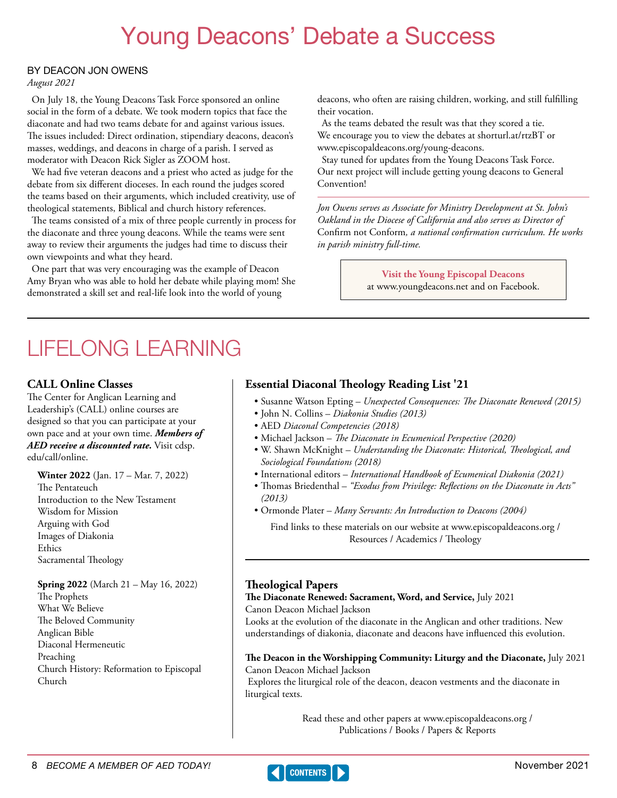# Young Deacons' Debate a Success

### <span id="page-7-0"></span>BY DEACON JON OWENS

*August 2021*

On July 18, the Young Deacons Task Force sponsored an online social in the form of a debate. We took modern topics that face the diaconate and had two teams debate for and against various issues. The issues included: Direct ordination, stipendiary deacons, deacon's masses, weddings, and deacons in charge of a parish. I served as moderator with Deacon Rick Sigler as ZOOM host.

We had five veteran deacons and a priest who acted as judge for the debate from six different dioceses. In each round the judges scored the teams based on their arguments, which included creativity, use of theological statements, Biblical and church history references.

The teams consisted of a mix of three people currently in process for the diaconate and three young deacons. While the teams were sent away to review their arguments the judges had time to discuss their own viewpoints and what they heard.

One part that was very encouraging was the example of Deacon Amy Bryan who was able to hold her debate while playing mom! She demonstrated a skill set and real-life look into the world of young

deacons, who often are raising children, working, and still fulfilling their vocation.

As the teams debated the result was that they scored a tie. We encourage you to view the debates at [shorturl.at/rtzBT](http://shorturl.at/rtzBT) or [www.episcopaldeacons.org/young-deacons](http://www.episcopaldeacons.org/young-deacons).

Stay tuned for updates from the Young Deacons Task Force. Our next project will include getting young deacons to General Convention!

*Jon Owens serves as Associate for Ministry Development at St. John's Oakland in the Diocese of California and also serves as Director of*  Confirm not Conform*, a national confirmation curriculum. He works in parish ministry full-time.* 

> **Visit the Young Episcopal Deacons** at [www.youngdeacons.net](http://www.youngdeacons.net) and on Facebook.

## LIFELONG LEARNING

## **CALL Online Classes**

The Center for Anglican Learning and Leadership's (CALL) online courses are designed so that you can participate at your own pace and at your own time. *Members of AED receive a discounted rate.* Visit [cdsp.](http://cdsp.edu/call/online) [edu/call/online](http://cdsp.edu/call/online).

**Winter 2022** (Jan. 17 – Mar. 7, 2022) The Pentateuch Introduction to the New Testament Wisdom for Mission Arguing with God Images of Diakonia Ethics Sacramental Theology

**Spring 2022** (March 21 – May 16, 2022) The Prophets What We Believe The Beloved Community

Anglican Bible Diaconal Hermeneutic Preaching Church History: Reformation to Episcopal Church

## Find links to these materials on our website at [www.episcopaldeacons.org](http://www.episcopaldeacons.org) /

*(2013)*

Resources / Academics / Theology

• Susanne Watson Epting – *Unexpected Consequences: The Diaconate Renewed (2015)*

• W. Shawn McKnight – *Understanding the Diaconate: Historical, Theological, and* 

• International editors – *International Handbook of Ecumenical Diakonia (2021)* • Thomas Briedenthal – *"Exodus from Privilege: Reflections on the Diaconate in Acts"* 

## **Theological Papers**

**The Diaconate Renewed: Sacrament, Word, and Service,** July 2021 Canon Deacon Michael Jackson

• Michael Jackson – *The Diaconate in Ecumenical Perspective (2020)*

• Ormonde Plater – *Many Servants: An Introduction to Deacons (2004)*

**Essential Diaconal Theology Reading List '21** 

• John N. Collins – *Diakonia Studies (2013)* • AED *Diaconal Competencies (2018)*

*Sociological Foundations (2018)*

Looks at the evolution of the diaconate in the Anglican and other traditions. New understandings of diakonia, diaconate and deacons have influenced this evolution.

**The Deacon in the Worshipping Community: Liturgy and the Diaconate,** July 2021 Canon Deacon Michael Jackson

 Explores the liturgical role of the deacon, deacon vestments and the diaconate in liturgical texts.

> Read these and other papers at [www.episcopaldeacons.org](http://www.episcopaldeacons.org) / Publications / Books / Papers & Reports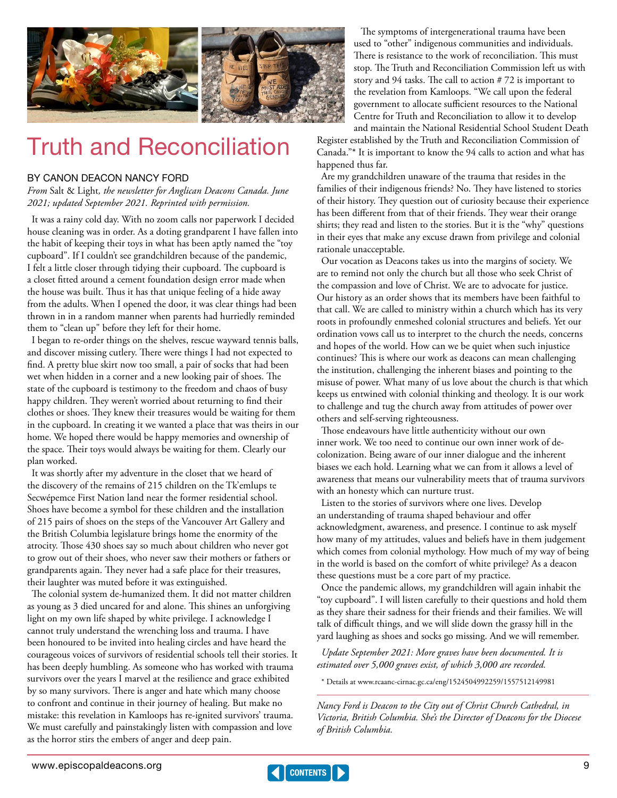<span id="page-8-0"></span>

# Truth and Reconciliation

### BY CANON DEACON NANCY FORD

*From* Salt & Light*, the newsletter for Anglican Deacons Canada. June 2021; updated September 2021. Reprinted with permission.*

It was a rainy cold day. With no zoom calls nor paperwork I decided house cleaning was in order. As a doting grandparent I have fallen into the habit of keeping their toys in what has been aptly named the "toy cupboard". If I couldn't see grandchildren because of the pandemic, I felt a little closer through tidying their cupboard. The cupboard is a closet fitted around a cement foundation design error made when the house was built. Thus it has that unique feeling of a hide away from the adults. When I opened the door, it was clear things had been thrown in in a random manner when parents had hurriedly reminded them to "clean up" before they left for their home.

I began to re-order things on the shelves, rescue wayward tennis balls, and discover missing cutlery. There were things I had not expected to find. A pretty blue skirt now too small, a pair of socks that had been wet when hidden in a corner and a new looking pair of shoes. The state of the cupboard is testimony to the freedom and chaos of busy happy children. They weren't worried about returning to find their clothes or shoes. They knew their treasures would be waiting for them in the cupboard. In creating it we wanted a place that was theirs in our home. We hoped there would be happy memories and ownership of the space. Their toys would always be waiting for them. Clearly our plan worked.

It was shortly after my adventure in the closet that we heard of the discovery of the remains of 215 children on the Tk'emlups te Secwépemce First Nation land near the former residential school. Shoes have become a symbol for these children and the installation of 215 pairs of shoes on the steps of the Vancouver Art Gallery and the British Columbia legislature brings home the enormity of the atrocity. Those 430 shoes say so much about children who never got to grow out of their shoes, who never saw their mothers or fathers or grandparents again. They never had a safe place for their treasures, their laughter was muted before it was extinguished.

The colonial system de-humanized them. It did not matter children as young as 3 died uncared for and alone. This shines an unforgiving light on my own life shaped by white privilege. I acknowledge I cannot truly understand the wrenching loss and trauma. I have been honoured to be invited into healing circles and have heard the courageous voices of survivors of residential schools tell their stories. It has been deeply humbling. As someone who has worked with trauma survivors over the years I marvel at the resilience and grace exhibited by so many survivors. There is anger and hate which many choose to confront and continue in their journey of healing. But make no mistake: this revelation in Kamloops has re-ignited survivors' trauma. We must carefully and painstakingly listen with compassion and love as the horror stirs the embers of anger and deep pain.

 The symptoms of intergenerational trauma have been used to "other" indigenous communities and individuals. There is resistance to the work of reconciliation. This must stop. The Truth and Reconciliation Commission left us with story and 94 tasks. The call to action # 72 is important to the revelation from Kamloops. "We call upon the federal government to allocate sufficient resources to the National Centre for Truth and Reconciliation to allow it to develop and maintain the National Residential School Student Death

Register established by the Truth and Reconciliation Commission of Canada."\* It is important to know the 94 calls to action and what has happened thus far.

Are my grandchildren unaware of the trauma that resides in the families of their indigenous friends? No. They have listened to stories of their history. They question out of curiosity because their experience has been different from that of their friends. They wear their orange shirts; they read and listen to the stories. But it is the "why" questions in their eyes that make any excuse drawn from privilege and colonial rationale unacceptable.

Our vocation as Deacons takes us into the margins of society. We are to remind not only the church but all those who seek Christ of the compassion and love of Christ. We are to advocate for justice. Our history as an order shows that its members have been faithful to that call. We are called to ministry within a church which has its very roots in profoundly enmeshed colonial structures and beliefs. Yet our ordination vows call us to interpret to the church the needs, concerns and hopes of the world. How can we be quiet when such injustice continues? This is where our work as deacons can mean challenging the institution, challenging the inherent biases and pointing to the misuse of power. What many of us love about the church is that which keeps us entwined with colonial thinking and theology. It is our work to challenge and tug the church away from attitudes of power over others and self-serving righteousness.

Those endeavours have little authenticity without our own inner work. We too need to continue our own inner work of decolonization. Being aware of our inner dialogue and the inherent biases we each hold. Learning what we can from it allows a level of awareness that means our vulnerability meets that of trauma survivors with an honesty which can nurture trust.

Listen to the stories of survivors where one lives. Develop an understanding of trauma shaped behaviour and offer acknowledgment, awareness, and presence. I continue to ask myself how many of my attitudes, values and beliefs have in them judgement which comes from colonial mythology. How much of my way of being in the world is based on the comfort of white privilege? As a deacon these questions must be a core part of my practice.

Once the pandemic allows, my grandchildren will again inhabit the "toy cupboard". I will listen carefully to their questions and hold them as they share their sadness for their friends and their families. We will talk of difficult things, and we will slide down the grassy hill in the yard laughing as shoes and socks go missing. And we will remember.

*Update September 2021: More graves have been documented. It is estimated over 5,000 graves exist, of which 3,000 are recorded.*

\* Details at [www.rcaanc-cirnac.gc.ca/eng/1524504992259/1557512149981](http://www.rcaanc-cirnac.gc.ca/eng/1524504992259/1557512149981)

*Nancy Ford is Deacon to the City out of Christ Church Cathedral, in Victoria, British Columbia. She's the Director of Deacons for the Diocese of British Columbia.*

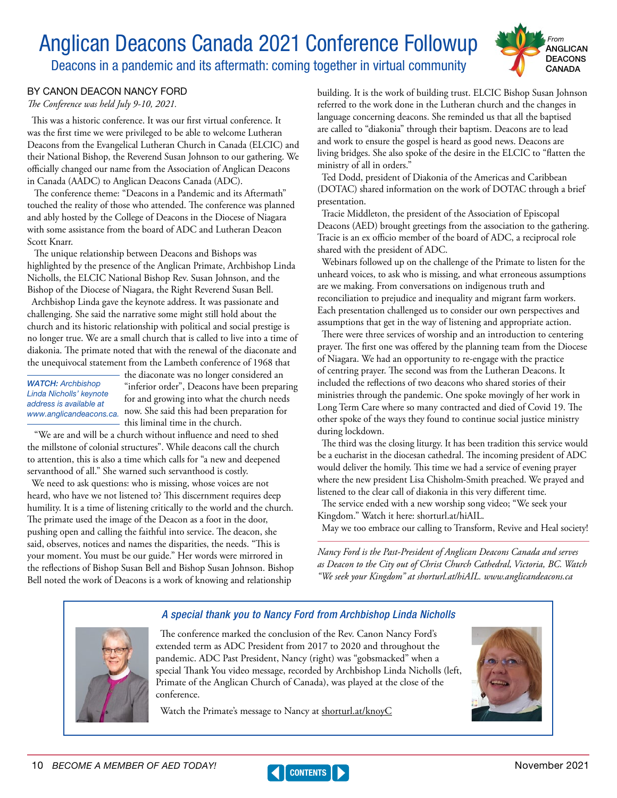# <span id="page-9-0"></span>Anglican Deacons Canada 2021 Conference Followup

Deacons in a pandemic and its aftermath: coming together in virtual community



## BY CANON DEACON NANCY FORD

*The Conference was held July 9-10, 2021.*

This was a historic conference. It was our first virtual conference. It was the first time we were privileged to be able to welcome Lutheran Deacons from the Evangelical Lutheran Church in Canada (ELCIC) and their National Bishop, the Reverend Susan Johnson to our gathering. We officially changed our name from the Association of Anglican Deacons in Canada (AADC) to Anglican Deacons Canada (ADC).

 The conference theme: "Deacons in a Pandemic and its Aftermath" touched the reality of those who attended. The conference was planned and ably hosted by the College of Deacons in the Diocese of Niagara with some assistance from the board of ADC and Lutheran Deacon Scott Knarr.

 The unique relationship between Deacons and Bishops was highlighted by the presence of the Anglican Primate, Archbishop Linda Nicholls, the ELCIC National Bishop Rev. Susan Johnson, and the Bishop of the Diocese of Niagara, the Right Reverend Susan Bell.

Archbishop Linda gave the keynote address. It was passionate and challenging. She said the narrative some might still hold about the church and its historic relationship with political and social prestige is no longer true. We are a small church that is called to live into a time of diakonia. The primate noted that with the renewal of the diaconate and the unequivocal statement from the Lambeth conference of 1968 that

*WATCH:* Archbishop Linda Nicholls' keynote address is available at

the diaconate was no longer considered an "inferior order", Deacons have been preparing for and growing into what the church needs [www.anglicandeacons.ca](http://www.anglicandeacons.ca). now. She said this had been preparation for this liminal time in the church.

 "We are and will be a church without influence and need to shed the millstone of colonial structures". While deacons call the church to attention, this is also a time which calls for "a new and deepened servanthood of all." She warned such servanthood is costly.

We need to ask questions: who is missing, whose voices are not heard, who have we not listened to? This discernment requires deep humility. It is a time of listening critically to the world and the church. The primate used the image of the Deacon as a foot in the door, pushing open and calling the faithful into service. The deacon, she said, observes, notices and names the disparities, the needs. "This is your moment. You must be our guide." Her words were mirrored in the reflections of Bishop Susan Bell and Bishop Susan Johnson. Bishop Bell noted the work of Deacons is a work of knowing and relationship

building. It is the work of building trust. ELCIC Bishop Susan Johnson referred to the work done in the Lutheran church and the changes in language concerning deacons. She reminded us that all the baptised are called to "diakonia" through their baptism. Deacons are to lead and work to ensure the gospel is heard as good news. Deacons are living bridges. She also spoke of the desire in the ELCIC to "flatten the ministry of all in orders."

Ted Dodd, president of Diakonia of the Americas and Caribbean (DOTAC) shared information on the work of DOTAC through a brief presentation.

Tracie Middleton, the president of the Association of Episcopal Deacons (AED) brought greetings from the association to the gathering. Tracie is an ex officio member of the board of ADC, a reciprocal role shared with the president of ADC.

Webinars followed up on the challenge of the Primate to listen for the unheard voices, to ask who is missing, and what erroneous assumptions are we making. From conversations on indigenous truth and reconciliation to prejudice and inequality and migrant farm workers. Each presentation challenged us to consider our own perspectives and assumptions that get in the way of listening and appropriate action.

There were three services of worship and an introduction to centering prayer. The first one was offered by the planning team from the Diocese of Niagara. We had an opportunity to re-engage with the practice of centring prayer. The second was from the Lutheran Deacons. It included the reflections of two deacons who shared stories of their ministries through the pandemic. One spoke movingly of her work in Long Term Care where so many contracted and died of Covid 19. The other spoke of the ways they found to continue social justice ministry during lockdown.

The third was the closing liturgy. It has been tradition this service would be a eucharist in the diocesan cathedral. The incoming president of ADC would deliver the homily. This time we had a service of evening prayer where the new president Lisa Chisholm-Smith preached. We prayed and listened to the clear call of diakonia in this very different time.

The service ended with a new worship song video; "We seek your Kingdom." Watch it here: [shorturl.at/hiAIL](http://shorturl.at/hiAIL).

May we too embrace our calling to Transform, Revive and Heal society!

*Nancy Ford is the Past-President of Anglican Deacons Canada and serves as Deacon to the City out of Christ Church Cathedral, Victoria, BC. Watch "We seek your Kingdom" at [shorturl.at/hiAIL](http://shorturl.at/hiAIL). [www.anglicandeacons.ca](http://www.anglicandeacons.ca)*



## *A special thank you to Nancy Ford from Archbishop Linda Nicholls*

The conference marked the conclusion of the Rev. Canon Nancy Ford's extended term as ADC President from 2017 to 2020 and throughout the pandemic. ADC Past President, Nancy (right) was "gobsmacked" when a special Thank You video message, recorded by Archbishop Linda Nicholls (left, Primate of the Anglican Church of Canada), was played at the close of the conference.

Watch the Primate's message to Nancy at [shorturl.at/knoyC](https://www.youtube.com/watch?v=ZM4OEgS2x3k)



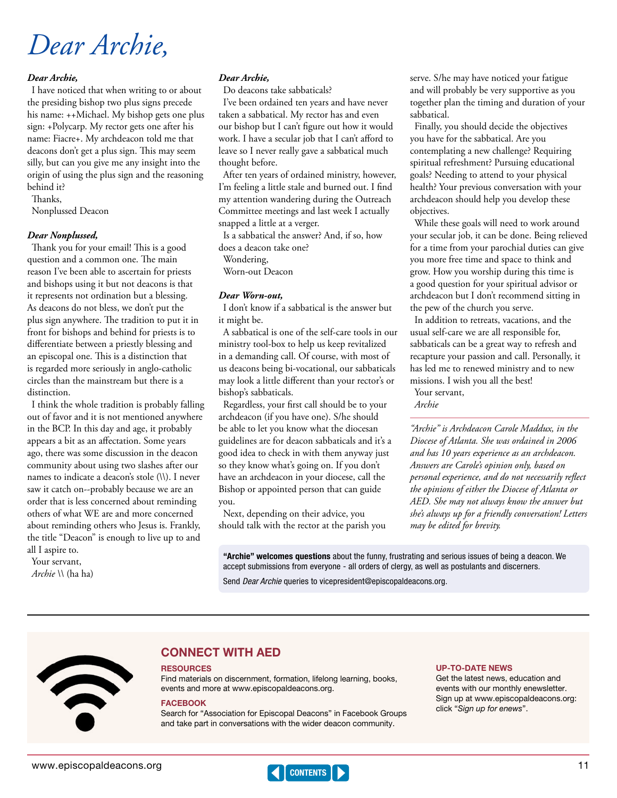# <span id="page-10-0"></span>*Dear Archie,*

### *Dear Archie,*

I have noticed that when writing to or about the presiding bishop two plus signs precede his name: ++Michael. My bishop gets one plus sign: +Polycarp. My rector gets one after his name: Fiacre+. My archdeacon told me that deacons don't get a plus sign. This may seem silly, but can you give me any insight into the origin of using the plus sign and the reasoning behind it?

Thanks,

Nonplussed Deacon

#### *Dear Nonplussed,*

Thank you for your email! This is a good question and a common one. The main reason I've been able to ascertain for priests and bishops using it but not deacons is that it represents not ordination but a blessing. As deacons do not bless, we don't put the plus sign anywhere. The tradition to put it in front for bishops and behind for priests is to differentiate between a priestly blessing and an episcopal one. This is a distinction that is regarded more seriously in anglo-catholic circles than the mainstream but there is a distinction.

I think the whole tradition is probably falling out of favor and it is not mentioned anywhere in the BCP. In this day and age, it probably appears a bit as an affectation. Some years ago, there was some discussion in the deacon community about using two slashes after our names to indicate a deacon's stole (\\). I never saw it catch on--probably because we are an order that is less concerned about reminding others of what WE are and more concerned about reminding others who Jesus is. Frankly, the title "Deacon" is enough to live up to and all I aspire to.

Your servant, *Archie \\* (ha ha)

#### *Dear Archie,*

Do deacons take sabbaticals?

I've been ordained ten years and have never taken a sabbatical. My rector has and even our bishop but I can't figure out how it would work. I have a secular job that I can't afford to leave so I never really gave a sabbatical much thought before.

After ten years of ordained ministry, however, I'm feeling a little stale and burned out. I find my attention wandering during the Outreach Committee meetings and last week I actually snapped a little at a verger.

Is a sabbatical the answer? And, if so, how does a deacon take one?

Wondering,

Worn-out Deacon

#### *Dear Worn-out,*

I don't know if a sabbatical is the answer but it might be.

A sabbatical is one of the self-care tools in our ministry tool-box to help us keep revitalized in a demanding call. Of course, with most of us deacons being bi-vocational, our sabbaticals may look a little different than your rector's or bishop's sabbaticals.

Regardless, your first call should be to your archdeacon (if you have one). S/he should be able to let you know what the diocesan guidelines are for deacon sabbaticals and it's a good idea to check in with them anyway just so they know what's going on. If you don't have an archdeacon in your diocese, call the Bishop or appointed person that can guide you.

Next, depending on their advice, you should talk with the rector at the parish you serve. S/he may have noticed your fatigue and will probably be very supportive as you together plan the timing and duration of your sabbatical.

Finally, you should decide the objectives you have for the sabbatical. Are you contemplating a new challenge? Requiring spiritual refreshment? Pursuing educational goals? Needing to attend to your physical health? Your previous conversation with your archdeacon should help you develop these objectives.

While these goals will need to work around your secular job, it can be done. Being relieved for a time from your parochial duties can give you more free time and space to think and grow. How you worship during this time is a good question for your spiritual advisor or archdeacon but I don't recommend sitting in the pew of the church you serve.

In addition to retreats, vacations, and the usual self-care we are all responsible for, sabbaticals can be a great way to refresh and recapture your passion and call. Personally, it has led me to renewed ministry and to new missions. I wish you all the best!

Your servant, *Archie*

*"Archie" is Archdeacon Carole Maddux, in the Diocese of Atlanta. She was ordained in 2006 and has 10 years experience as an archdeacon. Answers are Carole's opinion only, based on personal experience, and do not necessarily reflect the opinions of either the Diocese of Atlanta or AED. She may not always know the answer but she's always up for a friendly conversation! Letters may be edited for brevity.*

"Archie" welcomes questions about the funny, frustrating and serious issues of being a deacon. We accept submissions from everyone - all orders of clergy, as well as postulants and discerners.

Send *Dear Archie* queries to [vicepresident@episcopaldeacons.org](mailto:vicepresident@episcopaldeacons.org).



## CONNECT WITH AED

#### **RESOURCES**

Find materials on discernment, formation, lifelong learning, books, events and more at www.[episcopaldeacons.org.](https://www.episcopaldeacons.org)

#### **FACEBOOK**

Search for "Association for Episcopal Deacons" in Facebook Groups and take part in conversations with the wider deacon community.

#### UP-TO-DATE NEWS

Get the latest news, education and events with our monthly enewsletter. Sign up at www[.episcopaldeacons.org](https://www.episcopaldeacons.org): click "Sign up for enews".

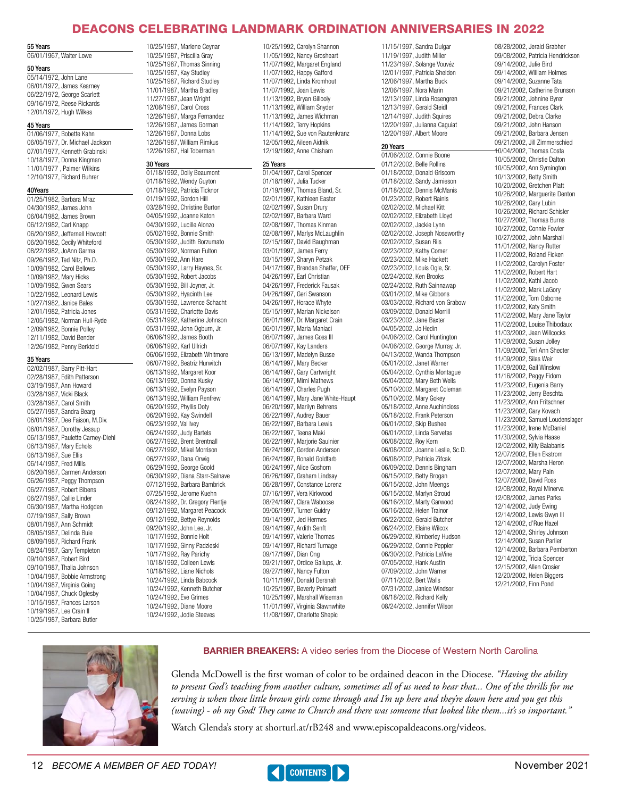## DEACONS CELEBRATING LANDMARK ORDINATION ANNIVERSARIES IN 2022

#### <span id="page-11-0"></span>55 Years

06/01/1967, Walter Lowe

#### 50 Years

05/14/1972, John Lane 06/01/1972, James Kearney 06/22/1972, George Scarlett 09/16/1972, Reese Rickards 12/01/1972, Hugh Wilkes

#### 45 Years

01/06/1977, Bobette Kahn 06/05/1977, Dr. Michael Jackson 07/01/1977, Kenneth Grabinski 10/18/1977, Donna Kingman 11/01/1977 , Palmer Wilkins 12/10/1977, Richard Buhrer

#### 40Years

01/25/1982, Barbara Mraz 04/30/1982, James John 06/04/1982, James Brown 06/12/1982, Carl Knapp 06/20/1982, Jeffernell Howcott 06/20/1982, Cecily Whiteford 08/22/1982, JoAnn Garma 09/26/1982, Ted Nitz, Ph.D. 10/09/1982, Carol Bellows 10/09/1982, Mary Hicks 10/09/1982, Gwen Sears 10/22/1982, Leonard Lewis 10/27/1982, Janice Bales 12/01/1982, Patricia Jones 12/05/1982, Norman Hull-Ryde 12/09/1982, Bonnie Polley 12/11/1982, David Bender 12/26/1982, Penny Berktold

#### 35 Years

02/02/1987, Barry Pitt-Hart 02/28/1987, Edith Patterson 03/19/1987, Ann Howard 03/28/1987, Vicki Black 03/28/1987, Carol Smith 05/27/1987, Sandra Bearg 06/01/1987, Dee Faison, M.Div. 06/01/1987, Dorothy Jessup 06/13/1987, Paulette Carney-Diehl 06/13/1987, Mary Echols 06/13/1987, Sue Ellis 06/14/1987, Fred Mills 06/20/1987, Carmen Anderson 06/26/1987, Peggy Thompson 06/27/1987, Robert Bibens 06/27/1987, Callie Linder 06/30/1987, Martha Hodgden 07/19/1987, Sally Brown 08/01/1987, Ann Schmidt 08/05/1987, Delinda Buie 08/09/1987, Richard Frank 08/24/1987, Gary Templeton 09/10/1987, Robert Bird 09/10/1987, Thalia Johnson 10/04/1987, Bobbie Armstrong 10/04/1987, Virginia Going 10/04/1987, Chuck Oglesby 10/15/1987, Frances Larson 10/19/1987, Lee Crain II 10/25/1987, Barbara Butler

10/25/1987, Marlene Ceynar 10/25/1987, Priscilla Gray 10/25/1987, Thomas Sinning 10/25/1987, Kay Studley 10/25/1987, Richard Studley 11/01/1987, Martha Bradley 11/27/1987, Jean Wright 12/08/1987, Carol Cross 12/26/1987, Marga Fernandez 12/26/1987, James Gorman 12/26/1987, Donna Lobs 12/26/1987, William Rimkus 12/26/1987, Hal Toberman

#### 30 Years

01/18/1992, Dolly Beaumont 01/18/1992, Wendy Guyton 01/18/1992, Patricia Ticknor 01/19/1992, Gordon Hill 03/28/1992, Christine Burton 04/05/1992, Joanne Katon 04/30/1992, Lucille Alonzo 05/02/1992, Bonnie Smith 05/30/1992, Judith Borzumato 05/30/1992, Norman Fulton 05/30/1992, Ann Hare 05/30/1992, Larry Haynes, Sr. 05/30/1992, Robert Jacobs 05/30/1992, Bill Joyner, Jr. 05/30/1992, Hyacinth Lee 05/30/1992, Lawrence Schacht 05/31/1992, Charlotte Davis 05/31/1992, Katherine Johnson 05/31/1992, John Ogburn, Jr. 06/06/1992, James Booth 06/06/1992, Karl Ullrich 06/06/1992, Elizabeth Whitmore 06/07/1992, Beatriz Hurwitch 06/13/1992, Margaret Koor 06/13/1992, Donna Kusky 06/13/1992, Evelyn Payson 06/13/1992, William Renfrew 06/20/1992, Phyllis Doty 06/20/1992, Kay Swindell 06/23/1992, Val Ivey 06/24/1992, Judy Bartels 06/27/1992, Brent Brentnall 06/27/1992, Mikel Morrison 06/27/1992, Dana Orwig 06/29/1992, George Goold 06/30/1992, Diana Starr-Salnave 07/12/1992, Barbara Bambrick 07/25/1992, Jerome Kuehn 08/24/1992, Dr. Gregory Flentje 09/12/1992, Margaret Peacock 09/12/1992, Bettye Reynolds 09/20/1992, John Lee, Jr. 10/17/1992, Bonnie Holt 10/17/1992, Ginny Padzieski 10/17/1992, Ray Parichy 10/18/1992, Colleen Lewis 10/18/1992, Liane Nichols 10/24/1992, Linda Babcock 10/24/1992, Kenneth Butcher 10/24/1992, Eve Grimes 10/24/1992, Diane Moore 10/24/1992, Jodie Steeves

10/25/1992, Carolyn Shannon 11/05/1992, Nancy Grosheart 11/07/1992, Margaret England 11/07/1992, Happy Gafford 11/07/1992, Linda Kromhout 11/07/1992, Joan Lewis 11/13/1992, Bryan Gillooly 11/13/1992, William Snyder 11/13/1992, James Wichman 11/14/1992, Terry Hopkins 11/14/1992, Sue von Rautenkranz 12/05/1992, Aileen Aidnik 12/19/1992, Anne Chisham

#### 25 Years

01/04/1997, Carol Spencer 01/18/1997, Julia Tucker 01/19/1997, Thomas Bland, Sr. 02/01/1997, Kathleen Easter 02/02/1997, Susan Drury 02/02/1997, Barbara Ward 02/08/1997, Thomas Kinman 02/08/1997, Marlys McLaughlin 02/15/1997, David Baughman 03/01/1997, James Ferry 03/15/1997, Sharyn Petzak 04/17/1997, Brendan Shaffer, OEF 04/26/1997, Earl Christian 04/26/1997, Frederick Fausak 04/26/1997, Geri Swanson 04/26/1997, Horace Whyte 05/15/1997, Marian Nickelson 06/01/1997, Dr. Margaret Crain 06/01/1997, Maria Maniaci 06/07/1997, James Goss III 06/07/1997, Kay Landers 06/13/1997, Madelyn Busse 06/14/1997, Mary Becker 06/14/1997, Gary Cartwright 06/14/1997, Mimi Mathews 06/14/1997, Charles Pugh 06/14/1997, Mary Jane White-Haupt 06/20/1997, Marilyn Behrens 06/22/1997, Audrey Bauer 06/22/1997, Barbara Lewis 06/22/1997, Teena Maki 06/22/1997, Marjorie Saulnier 06/24/1997, Gordon Anderson 06/24/1997, Ronald Goldfarb 06/24/1997, Alice Goshorn 06/26/1997, Graham Lindsay 06/28/1997, Constance Lorenz 07/16/1997, Vera Kirkwood 08/24/1997, Clara Waboose 09/06/1997, Turner Guidry 09/14/1997, Jed Hermes 09/14/1997, Ardith Senft 09/14/1997, Valerie Thomas 09/14/1997, Richard Turnage 09/17/1997, Dian Ong 09/21/1997, Ordice Gallups, Jr. 09/27/1997, Nancy Fulton 10/11/1997, Donald Dersnah 10/25/1997, Beverly Poinsett 10/25/1997, Marshall Wiseman 11/01/1997, Virginia Slawnwhite 11/08/1997, Charlotte Shepic

11/15/1997, Sandra Dulgar 11/19/1997, Judith Miller 11/23/1997, Solange Vouvéz 12/01/1997, Patricia Sheldon 12/06/1997, Martha Buck 12/06/1997, Nora Marin 12/13/1997, Linda Rosengren 12/13/1997, Gerald Steidl 12/14/1997, Judith Squires 12/20/1997, Julianna Caguiat 12/20/1997, Albert Moore

#### 20 Years

01/06/2002, Connie Boone 01/12/2002, Belle Rollins 01/18/2002, Donald Griscom 01/18/2002, Sandy Jamieson 01/18/2002, Dennis McManis 01/23/2002, Robert Rainis 02/02/2002, Michael Kitt 02/02/2002, Elizabeth Lloyd 02/02/2002, Jackie Lynn 02/02/2002, Joseph Noseworthy 02/02/2002, Susan Riis 02/23/2002, Kathy Comer 02/23/2002, Mike Hackett 02/23/2002, Louis Ogle, Sr. 02/24/2002, Ken Brooks 02/24/2002, Ruth Sainnawap 03/01/2002, Mike Gibbons 03/03/2002, Richard von Grabow 03/09/2002, Donald Morrill 03/23/2002, Jane Baxter 04/05/2002, Jo Hedin 04/06/2002, Carol Huntington 04/06/2002, George Murray, Jr. 04/13/2002, Wanda Thompson 05/01/2002, Janet Warner 05/04/2002, Cynthia Montague 05/04/2002, Mary Beth Wells 05/10/2002, Margaret Coleman 05/10/2002, Mary Gokey 05/18/2002, Anne Auchincloss 05/18/2002, Frank Peterson 06/01/2002, Skip Bushee 06/01/2002, Linda Servetas 06/08/2002, Roy Kern 06/08/2002, Joanne Leslie, Sc.D. 06/08/2002, Patricia Zifcak 06/09/2002, Dennis Bingham 06/15/2002, Betty Brogan 06/15/2002, John Meengs 06/15/2002, Marlyn Stroud 06/16/2002, Marty Garwood 06/16/2002, Helen Trainor 06/22/2002, Gerald Butcher 06/24/2002, Elaine Wilcox 06/29/2002, Kimberley Hudson 06/29/2002, Connie Peppler 06/30/2002, Patricia LaVine 07/05/2002, Hank Austin 07/09/2002, John Warner 07/11/2002, Bert Walls 07/31/2002, Janice Windsor 08/18/2002, Richard Kelly 08/24/2002, Jennifer Wilson

09/08/2002, Patricia Hendrickson 09/14/2002, Julie Bird 09/14/2002, William Holmes 09/14/2002, Suzanne Tata 09/21/2002, Catherine Brunson 09/21/2002, Johnine Byrer 09/21/2002, Frances Clark 09/21/2002, Debra Clarke 09/21/2002, John Hanson 09/21/2002, Barbara Jensen 09/21/2002, Jill Zimmerschied 10/04/2002, Thomas Costa 10/05/2002, Christie Dalton 10/05/2002, Ann Symington 10/13/2002, Betty Smith 10/20/2002, Gretchen Platt 10/26/2002, Marguerite Denton 10/26/2002, Gary Lubin 10/26/2002, Richard Schisler 10/27/2002, Thomas Burns 10/27/2002, Connie Fowler 10/27/2002, John Marshall 11/01/2002, Nancy Rutter 11/02/2002, Roland Ficken 11/02/2002, Carolyn Foster 11/02/2002, Robert Hart 11/02/2002, Kathi Jacob 11/02/2002, Mark LaGory 11/02/2002, Tom Osborne 11/02/2002, Katy Smith 11/02/2002, Mary Jane Taylor 11/02/2002, Louise Thibodaux 11/03/2002, Jean Willcocks 11/09/2002, Susan Jolley 11/09/2002, Teri Ann Shecter 11/09/2002, Silas Weir 11/09/2002, Gail Winslow 11/16/2002, Peggy Fidom 11/23/2002, Eugenia Barry 11/23/2002, Jerry Beschta 11/23/2002, Ann Fritschner 11/23/2002, Gary Kovach 11/23/2002, Samuel Loudenslager 11/23/2002, Irene McDaniel 11/30/2002, Sylvia Haase 12/02/2002, Killy Balabanis 12/07/2002, Ellen Ekstrom 12/07/2002, Marsha Heron 12/07/2002, Mary Pain 12/07/2002, David Ross 12/08/2002, Royal Minerva 12/08/2002, James Parks 12/14/2002, Judy Ewing 12/14/2002, Lewis Gwyn III 12/14/2002, d'Rue Hazel 12/14/2002, Shirley Johnson 12/14/2002, Susan Parlier 12/14/2002, Barbara Pemberton 12/14/2002, Tricia Spencer 12/15/2002, Allen Crosier 12/20/2002, Helen Biggers 12/21/2002, Finn Pond

08/28/2002, Jerald Grabher



#### **BARRIER BREAKERS:** A video series from the Diocese of Western North Carolina

Glenda McDowell is the first woman of color to be ordained deacon in the Diocese. *"Having the ability*  to present God's teaching from another culture, sometimes all of us need to hear that... One of the thrills for me *serving is when those little brown girls come through and I'm up here and they're down here and you get this (waving) - oh my God! They came to Church and there was someone that looked like them...it's so important."*

Watch Glenda's story at [shorturl.at/rB248](http://shorturl.at/rB248) and [www.episcopaldeacons.org/videos](http://www.episcopaldeacons.org/videos).

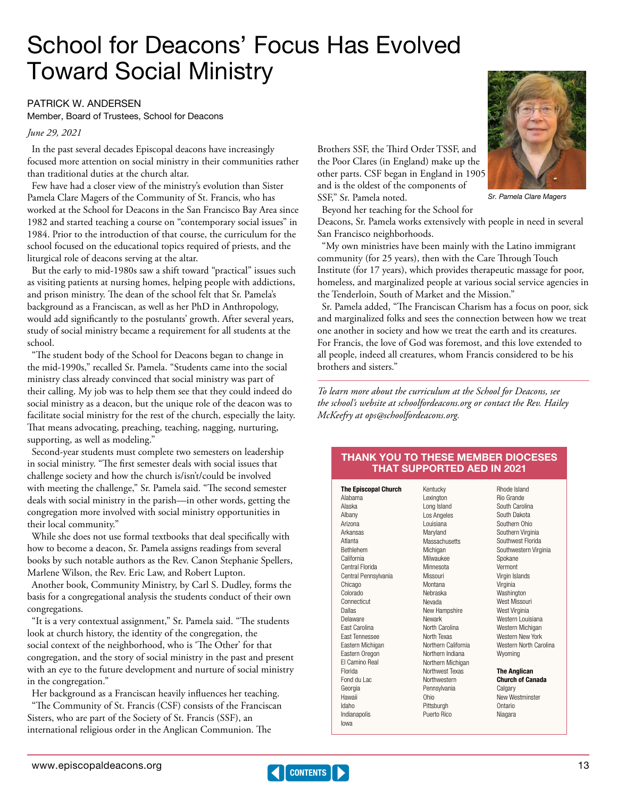# <span id="page-12-0"></span>School for Deacons' Focus Has Evolved Toward Social Ministry

#### PATRICK W. ANDERSEN

Member, Board of Trustees, School for Deacons

#### *June 29, 2021*

In the past several decades Episcopal deacons have increasingly focused more attention on social ministry in their communities rather than traditional duties at the church altar.

Few have had a closer view of the ministry's evolution than Sister Pamela Clare Magers of the Community of St. Francis, who has worked at the School for Deacons in the San Francisco Bay Area since 1982 and started teaching a course on "contemporary social issues" in 1984. Prior to the introduction of that course, the curriculum for the school focused on the educational topics required of priests, and the liturgical role of deacons serving at the altar.

But the early to mid-1980s saw a shift toward "practical" issues such as visiting patients at nursing homes, helping people with addictions, and prison ministry. The dean of the school felt that Sr. Pamela's background as a Franciscan, as well as her PhD in Anthropology, would add significantly to the postulants' growth. After several years, study of social ministry became a requirement for all students at the school.

"The student body of the School for Deacons began to change in the mid-1990s," recalled Sr. Pamela. "Students came into the social ministry class already convinced that social ministry was part of their calling. My job was to help them see that they could indeed do social ministry as a deacon, but the unique role of the deacon was to facilitate social ministry for the rest of the church, especially the laity. That means advocating, preaching, teaching, nagging, nurturing, supporting, as well as modeling."

Second-year students must complete two semesters on leadership in social ministry. "The first semester deals with social issues that challenge society and how the church is/isn't/could be involved with meeting the challenge," Sr. Pamela said. "The second semester deals with social ministry in the parish—in other words, getting the congregation more involved with social ministry opportunities in their local community."

While she does not use formal textbooks that deal specifically with how to become a deacon, Sr. Pamela assigns readings from several books by such notable authors as the Rev. Canon Stephanie Spellers, Marlene Wilson, the Rev. Eric Law, and Robert Lupton.

Another book, Community Ministry, by Carl S. Dudley, forms the basis for a congregational analysis the students conduct of their own congregations.

"It is a very contextual assignment," Sr. Pamela said. "The students look at church history, the identity of the congregation, the social context of the neighborhood, who is 'The Other' for that congregation, and the story of social ministry in the past and present with an eye to the future development and nurture of social ministry in the congregation."

Her background as a Franciscan heavily influences her teaching.

"The Community of St. Francis (CSF) consists of the Franciscan Sisters, who are part of the Society of St. Francis (SSF), an international religious order in the Anglican Communion. The

Brothers SSF, the Third Order TSSF, and the Poor Clares (in England) make up the other parts. CSF began in England in 1905 and is the oldest of the components of SSF," Sr. Pamela noted.

Beyond her teaching for the School for Sr. Pamela Clare Magers

Deacons, Sr. Pamela works extensively with people in need in several San Francisco neighborhoods.

"My own ministries have been mainly with the Latino immigrant community (for 25 years), then with the Care Through Touch Institute (for 17 years), which provides therapeutic massage for poor, homeless, and marginalized people at various social service agencies in the Tenderloin, South of Market and the Mission."

Sr. Pamela added, "The Franciscan Charism has a focus on poor, sick and marginalized folks and sees the connection between how we treat one another in society and how we treat the earth and its creatures. For Francis, the love of God was foremost, and this love extended to all people, indeed all creatures, whom Francis considered to be his brothers and sisters."

*To learn more about the curriculum at the School for Deacons, see the school's website at [schoolfordeacons.org](https://schoolfordeacons.org) or contact the Rev. Hailey McKeefry at [ops@schoolfordeacons.org.](mailto:ops@schoolfordeacons.org)* 

#### THANK YOU TO THESE MEMBER DIOCESES THAT SUPPORTED AED IN 2021

The Episcopal Church Alabama Arizona Arkansas Atlanta Bethlehem California Central Florida Central Pennsylvania Chicago Colorado Connecticut Delaware East Carolina East Tennessee Eastern Michigan Eastern Oregon El Camino Real Florida Fond du Lac Georgia Indianapolis

Alaska Albany

Dallas

Hawaii Idaho

Iowa

CONTENTS

Kentucky Lexington Long Island Los Angeles Louisiana Maryland Massachusetts Michigan Milwaukee Minnesota Missouri **Montana** Nebraska Nevada New Hampshire Newark North Carolina North Texas Northern California Northern Indiana Northern Michigan Northwest Texas Northwestern Pennsylvania Ohio Pittsburgh Puerto Rico

Rhode Island Rio Grande South Carolina South Dakota Southern Ohio Southern Virginia Southwest Florida Southwestern Virginia Spokane Vermont Virgin Islands Virginia Washington West Missouri West Virginia Western Louisiana Western Michigan Western New York Western North Carolina Wyoming The Anglican

Church of Canada **Calgary** New Westminster Ontario Niagara

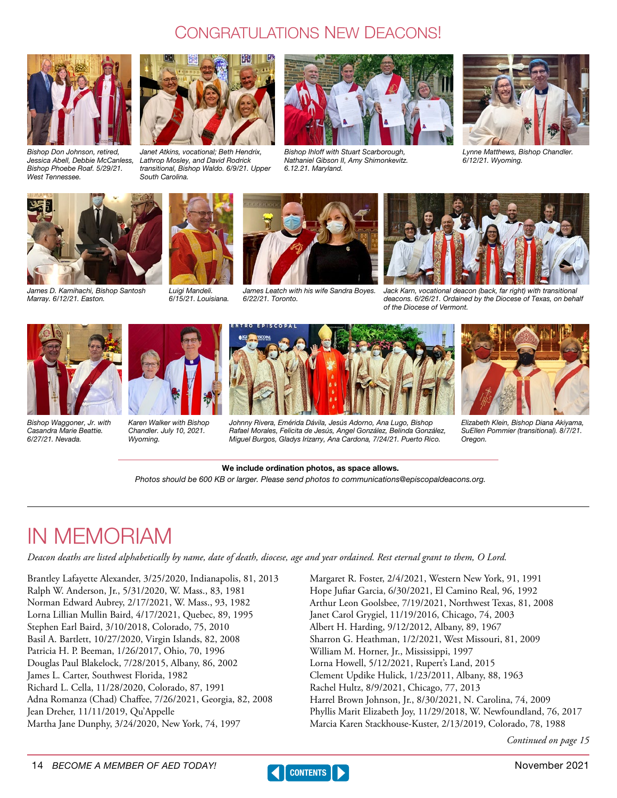## Congratulations New Deacons!

<span id="page-13-0"></span>

Bishop Don Johnson, retired, Jessica Abell, Debbie McCanless, Bishop Phoebe Roaf. 5/29/21. West Tennessee.



Janet Atkins, vocational; Beth Hendrix, Lathrop Mosley, and David Rodrick transitional, Bishop Waldo. 6/9/21. Upper South Carolina.



Bishop Ihloff with Stuart Scarborough, Nathaniel Gibson II, Amy Shimonkevitz. 6.12.21. Maryland.



Lynne Matthews, Bishop Chandler. 6/12/21. Wyoming.



James D. Kamihachi, Bishop Santosh Marray. 6/12/21. Easton.



Luigi Mandeli. 6/15/21. Louisiana.



James Leatch with his wife Sandra Boyes. 6/22/21. Toronto.



Johnny Rivera, Emérida Dávila, Jesús Adorno, Ana Lugo, Bishop Rafael Morales, Felicita de Jesús, Angel González, Belinda González, Miguel Burgos, Gladys Irizarry, Ana Cardona, 7/24/21. Puerto Rico.





Bishop Waggoner, Jr. with Casandra Marie Beattie. 6/27/21. Nevada.



Karen Walker with Bishop Chandler. July 10, 2021. Wyoming.





Elizabeth Klein, Bishop Diana Akiyama, SuEllen Pommier (transitional). 8/7/21. Oregon.

#### We include ordination photos, as space allows. Photos should be 600 KB or larger. Please send photos to communications@episcopaldeacons.org.

## IN MEMORIAM

*Deacon deaths are listed alphabetically by name, date of death, diocese, age and year ordained. Rest eternal grant to them, O Lord.*

Brantley Lafayette Alexander, 3/25/2020, Indianapolis, 81, 2013 Ralph W. Anderson, Jr., 5/31/2020, W. Mass., 83, 1981 Norman Edward Aubrey, 2/17/2021, W. Mass., 93, 1982 Lorna Lillian Mullin Baird, 4/17/2021, Quebec, 89, 1995 Stephen Earl Baird, 3/10/2018, Colorado, 75, 2010 Basil A. Bartlett, 10/27/2020, Virgin Islands, 82, 2008 Patricia H. P. Beeman, 1/26/2017, Ohio, 70, 1996 Douglas Paul Blakelock, 7/28/2015, Albany, 86, 2002 James L. Carter, Southwest Florida, 1982 Richard L. Cella, 11/28/2020, Colorado, 87, 1991 Adna Romanza (Chad) Chaffee, 7/26/2021, Georgia, 82, 2008 Jean Dreher, 11/11/2019, Qu'Appelle Martha Jane Dunphy, 3/24/2020, New York, 74, 1997

Margaret R. Foster, 2/4/2021, Western New York, 91, 1991 Hope Jufiar Garcia, 6/30/2021, El Camino Real, 96, 1992 Arthur Leon Goolsbee, 7/19/2021, Northwest Texas, 81, 2008 Janet Carol Grygiel, 11/19/2016, Chicago, 74, 2003 Albert H. Harding, 9/12/2012, Albany, 89, 1967 Sharron G. Heathman, 1/2/2021, West Missouri, 81, 2009 William M. Horner, Jr., Mississippi, 1997 Lorna Howell, 5/12/2021, Rupert's Land, 2015 Clement Updike Hulick, 1/23/2011, Albany, 88, 1963 Rachel Hultz, 8/9/2021, Chicago, 77, 2013 Harrel Brown Johnson, Jr., 8/30/2021, N. Carolina, 74, 2009 Phyllis Marit Elizabeth Joy, 11/29/2018, W. Newfoundland, 76, 2017 Marcia Karen Stackhouse-Kuster, 2/13/2019, Colorado, 78, 1988

*Continued on page 15*

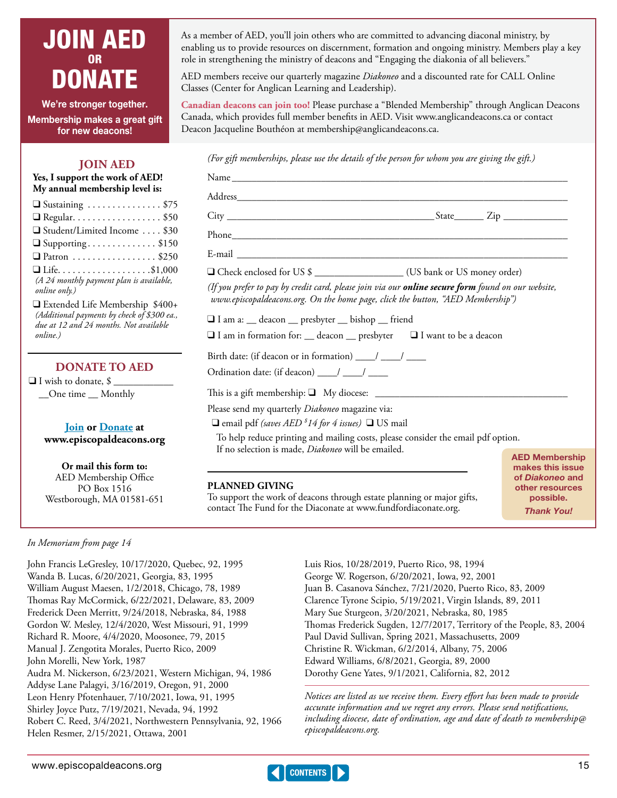## <span id="page-14-0"></span>JOIN AED OR DONATE

We're stronger together. Membership makes a great gift for new deacons!

## **JOIN AED**

**Yes, I support the work of AED! My annual membership level is:** 

| $\Box$ Sustaining \$75                   |
|------------------------------------------|
| $\Box$ Regular. \$50                     |
| □ Student/Limited Income \$30            |
| $\Box$ Supporting\$150                   |
| $\Box$ Patron \$250                      |
|                                          |
| (A 24 monthly payment plan is available, |
| online only.)                            |
|                                          |

**□** Extended Life Membership \$400+ *(Additional payments by check of \$300 ea., due at 12 and 24 months. Not available online.)*

## **DONATE TO AED**

 $\Box$  I wish to donate, \$ \_\_One time \_\_ Monthly

> **[Join](https://www.episcopaldeacons.org/join---aed-membership.html) or [Donate](https://www.episcopaldeacons.org/donate.html) at [www.episcopaldeacons.org](https://www.episcopaldeacons.org/join-aed.html)**

> > **Or mail this form to:**

AED Membership Office PO Box 1516 Westborough, MA 01581-651 As a member of AED, you'll join others who are committed to advancing diaconal ministry, by enabling us to provide resources on discernment, formation and ongoing ministry. Members play a key role in strengthening the ministry of deacons and "Engaging the diakonia of all believers."

AED members receive our quarterly magazine *Diakoneo* and a discounted rate for CALL Online Classes (Center for Anglican Learning and Leadership).

**Canadian deacons can join too!** Please purchase a "Blended Membership" through Anglican Deacons Canada, which provides full member benefits in AED. Visit www.anglicandeacons.ca or contact Deacon Jacqueline Bouthéon at [membership@anglicandeacons.ca](mailto:membership@anglicandeacons.ca).

*(For gift memberships, please use the details of the person for whom you are giving the gift.)*

|                                                                                           | □ Check enclosed for US \$                                                                                |
|-------------------------------------------------------------------------------------------|-----------------------------------------------------------------------------------------------------------|
| www.episcopaldeacons.org. On the home page, click the button, "AED Membership")           | (If you prefer to pay by credit card, please join via our <b>online secure form</b> found on our website, |
| □ I am a: __ deacon __ presbyter __ bishop __ friend                                      |                                                                                                           |
| $\Box$ I am in formation for: $\Box$ deacon $\Box$ presbyter $\Box$ I want to be a deacon |                                                                                                           |
| Birth date: (if deacon or in formation) ___/ ___/ ____                                    |                                                                                                           |
| Ordination date: (if deacon) ___/ ___/ ____                                               |                                                                                                           |
|                                                                                           |                                                                                                           |
| Please send my quarterly Diakoneo magazine via:                                           |                                                                                                           |
| $\Box$ email pdf (saves AED <sup>\$14</sup> for 4 issues) $\Box$ US mail                  |                                                                                                           |
|                                                                                           | To help reduce printing and mailing costs, please consider the email pdf option.                          |
| If no selection is made, <i>Diakoneo</i> will be emailed.                                 | <b>AED Membership</b>                                                                                     |
|                                                                                           | makes this issue                                                                                          |
| <b>PLANNED GIVING</b>                                                                     | of Diakoneo and<br>other resources                                                                        |

To support the work of deacons through estate planning or major gifts, contact The Fund for the Diaconate at [www.fundfordiaconate.org](http://www.fundfordiaconate.org).

other resources possible. *Thank You!*

## *In Memoriam from page 14*

John Francis LeGresley, 10/17/2020, Quebec, 92, 1995 Wanda B. Lucas, 6/20/2021, Georgia, 83, 1995 William August Maesen, 1/2/2018, Chicago, 78, 1989 Thomas Ray McCormick, 6/22/2021, Delaware, 83, 2009 Frederick Deen Merritt, 9/24/2018, Nebraska, 84, 1988 Gordon W. Mesley, 12/4/2020, West Missouri, 91, 1999 Richard R. Moore, 4/4/2020, Moosonee, 79, 2015 Manual J. Zengotita Morales, Puerto Rico, 2009 John Morelli, New York, 1987 Audra M. Nickerson, 6/23/2021, Western Michigan, 94, 1986 Addyse Lane Palagyi, 3/16/2019, Oregon, 91, 2000 Leon Henry Pfotenhauer, 7/10/2021, Iowa, 91, 1995 Shirley Joyce Putz, 7/19/2021, Nevada, 94, 1992 Robert C. Reed, 3/4/2021, Northwestern Pennsylvania, 92, 1966 Helen Resmer, 2/15/2021, Ottawa, 2001

Luis Rios, 10/28/2019, Puerto Rico, 98, 1994 George W. Rogerson, 6/20/2021, Iowa, 92, 2001 Juan B. Casanova Sánchez, 7/21/2020, Puerto Rico, 83, 2009 Clarence Tyrone Scipio, 5/19/2021, Virgin Islands, 89, 2011 Mary Sue Sturgeon, 3/20/2021, Nebraska, 80, 1985 Thomas Frederick Sugden, 12/7/2017, Territory of the People, 83, 2004 Paul David Sullivan, Spring 2021, Massachusetts, 2009 Christine R. Wickman, 6/2/2014, Albany, 75, 2006 Edward Williams, 6/8/2021, Georgia, 89, 2000 Dorothy Gene Yates, 9/1/2021, California, 82, 2012

*Notices are listed as we receive them. Every effort has been made to provide accurate information and we regret any errors. Please send notifications, including diocese, date of ordination, age and date of death to membership@ episcopaldeacons.org.*